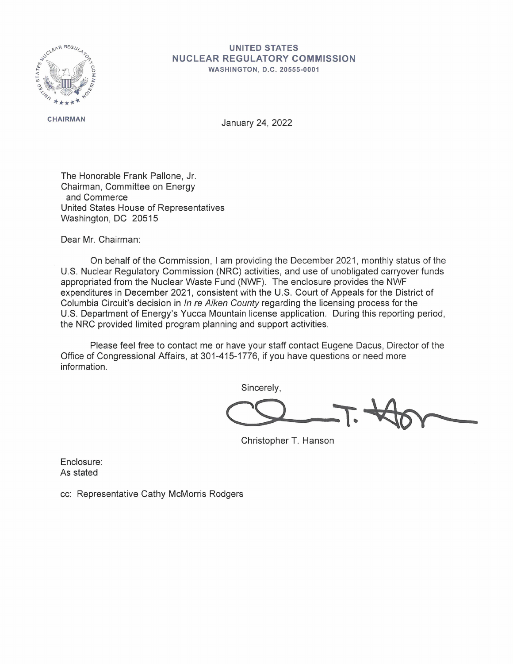

## **UNITED STATES NUCLEAR REGULATORY COMMISSION**

**WASHINGTON, D.C. 20555-0001** 

**CHAIRMAN** January 24, 2022

The Honorable Frank Pallone, Jr. Chairman, Committee on Energy and Commerce United States House of Representatives Washington, DC 20515

Dear Mr. Chairman:

On behalf of the Commission, I am providing the December 2021 , monthly status of the U.S. Nuclear Regulatory Commission (NRC) activities, and use of unobligated carryover funds appropriated from the Nuclear Waste Fund (NWF). The enclosure provides the NWF expenditures in December 2021, consistent with the U.S. Court of Appeals for the District of Columbia Circuit's decision in In re Aiken County regarding the licensing process for the U.S. Department of Energy's Yucca Mountain license application. During this reporting period, the NRC provided limited program planning and support activities.

Please feel free to contact me or have your staff contact Eugene Dacus, Director of the Office of Congressional Affairs, at 301-415-1776, if you have questions or need more information.

Sincerely,

Sincerely,

Christopher T. Hanson

Enclosure: As stated

cc: Representative Cathy McMorris Rodgers